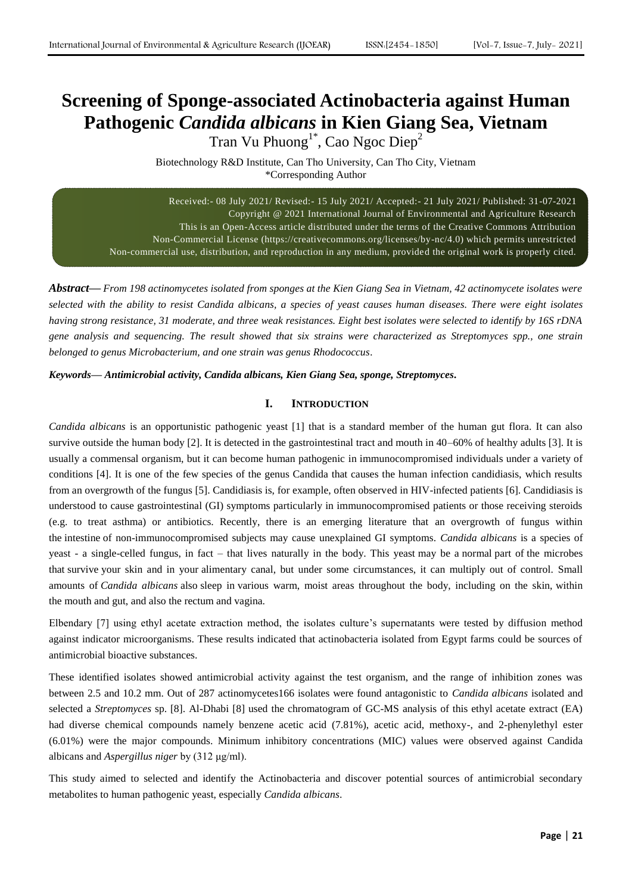# **Screening of Sponge-associated Actinobacteria against Human Pathogenic** *Candida albicans* **in Kien Giang Sea, Vietnam**

Tran Vu Phuong<sup>1\*</sup>, Cao Ngoc Diep<sup>2</sup>

Biotechnology R&D Institute, Can Tho University, Can Tho City, Vietnam \*Corresponding Author

Received:- 08 July 2021/ Revised:- 15 July 2021/ Accepted:- 21 July 2021/ Published: 31-07-2021 Copyright @ 2021 International Journal of Environmental and Agriculture Research This is an Open-Access article distributed under the terms of the Creative Commons Attribution Non-Commercial License (https://creativecommons.org/licenses/by-nc/4.0) which permits unrestricted Non-commercial use, distribution, and reproduction in any medium, provided the original work is properly cited.

*Abstract***—** *From 198 actinomycetes isolated from sponges at the Kien Giang Sea in Vietnam, 42 actinomycete isolates were selected with the ability to resist Candida albicans, a species of yeast causes human diseases. There were eight isolates having strong resistance, 31 moderate, and three weak resistances. Eight best isolates were selected to identify by 16S rDNA gene analysis and sequencing. The result showed that six strains were characterized as Streptomyces spp., one strain belonged to genus Microbacterium, and one strain was genus Rhodococcus.*

*Keywords— Antimicrobial activity, Candida albicans, Kien Giang Sea, sponge, Streptomyces.*

## **I. INTRODUCTION**

*Candida albicans* is an opportunistic pathogenic yeast [1] that is a standard member of the human gut flora. It can also survive outside the human body [2]. It is detected in the gastrointestinal tract and mouth in 40–60% of healthy adults [3]. It is usually a commensal organism, but it can become human pathogenic in immunocompromised individuals under a variety of conditions [4]. It is one of the few species of the genus Candida that causes the human infection candidiasis, which results from an overgrowth of the fungus [5]. Candidiasis is, for example, often observed in HIV-infected patients [6]. Candidiasis is understood to cause gastrointestinal (GI) symptoms particularly in immunocompromised patients or those receiving steroids (e.g. to treat asthma) or antibiotics. Recently, there is an emerging literature that an overgrowth of fungus within the intestine of non-immunocompromised subjects may cause unexplained GI symptoms. *Candida albicans* is a species of yeast - a single-celled fungus, in fact – that lives naturally in the body. This yeast may be a normal part of the microbes that survive your skin and in your alimentary canal, but under some circumstances, it can multiply out of control. Small amounts of *Candida albicans* also sleep in various warm, moist areas throughout the body, including on the skin, within the mouth and gut, and also the rectum and vagina.

Elbendary [7] using ethyl acetate extraction method, the isolates culture's supernatants were tested by diffusion method against indicator microorganisms. These results indicated that actinobacteria isolated from Egypt farms could be sources of antimicrobial bioactive substances.

These identified isolates showed antimicrobial activity against the test organism, and the range of inhibition zones was between 2.5 and 10.2 mm. Out of 287 actinomycetes166 isolates were found antagonistic to *Candida albicans* isolated and selected a *Streptomyces* sp. [8]. Al-Dhabi [8] used the chromatogram of GC-MS analysis of this ethyl acetate extract (EA) had diverse chemical compounds namely benzene acetic acid (7.81%), acetic acid, methoxy-, and 2-phenylethyl ester (6.01%) were the major compounds. Minimum inhibitory concentrations (MIC) values were observed against Candida albicans and *Aspergillus niger* by (312 μg/ml).

This study aimed to selected and identify the Actinobacteria and discover potential sources of antimicrobial secondary metabolites to human pathogenic yeast, especially *Candida albicans*.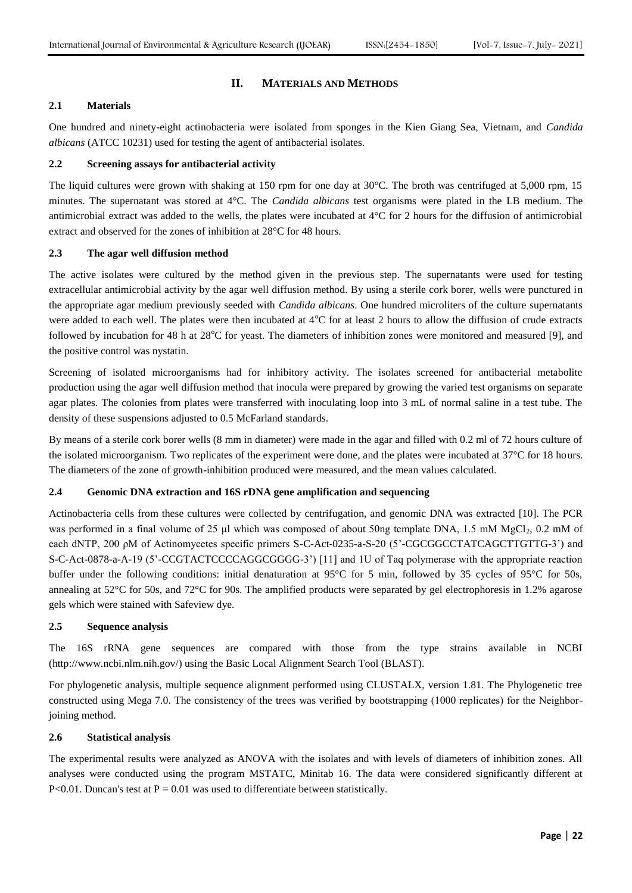## **II. MATERIALS AND METHODS**

## **2.1 Materials**

One hundred and ninety-eight actinobacteria were isolated from sponges in the Kien Giang Sea, Vietnam, and *Candida albicans* (ATCC 10231) used for testing the agent of antibacterial isolates.

## **2.2 Screening assays for antibacterial activity**

The liquid cultures were grown with shaking at 150 rpm for one day at 30°C. The broth was centrifuged at 5,000 rpm, 15 minutes. The supernatant was stored at 4°C. The *Candida albicans* test organisms were plated in the LB medium. The antimicrobial extract was added to the wells, the plates were incubated at 4°C for 2 hours for the diffusion of antimicrobial extract and observed for the zones of inhibition at 28°C for 48 hours.

## **2.3 The agar well diffusion method**

The active isolates were cultured by the method given in the previous step. The supernatants were used for testing extracellular antimicrobial activity by the agar well diffusion method. By using a sterile cork borer, wells were punctured in the appropriate agar medium previously seeded with *Candida albicans*. One hundred microliters of the culture supernatants were added to each well. The plates were then incubated at  $4^{\circ}$ C for at least 2 hours to allow the diffusion of crude extracts followed by incubation for 48 h at  $28^{\circ}$ C for yeast. The diameters of inhibition zones were monitored and measured [9], and the positive control was nystatin.

Screening of isolated microorganisms had for inhibitory activity. The isolates screened for antibacterial metabolite production using the agar well diffusion method that inocula were prepared by growing the varied test organisms on separate agar plates. The colonies from plates were transferred with inoculating loop into 3 mL of normal saline in a test tube. The density of these suspensions adjusted to 0.5 McFarland standards.

By means of a sterile cork borer wells (8 mm in diameter) were made in the agar and filled with 0.2 ml of 72 hours culture of the isolated microorganism. Two replicates of the experiment were done, and the plates were incubated at 37°C for 18 hours. The diameters of the zone of growth-inhibition produced were measured, and the mean values calculated.

## **2.4 Genomic DNA extraction and 16S rDNA gene amplification and sequencing**

Actinobacteria cells from these cultures were collected by centrifugation, and genomic DNA was extracted [10]. The PCR was performed in a final volume of 25 µl which was composed of about 50ng template DNA, 1.5 mM MgCl<sub>2</sub>, 0.2 mM of each dNTP, 200 ρM of Actinomycetes specific primers S-C-Act-0235-a-S-20 (5'-CGCGGCCTATCAGCTTGTTG-3') and S-C-Act-0878-a-A-19 (5'-CCGTACTCCCCAGGCGGGG-3') [11] and 1U of Taq polymerase with the appropriate reaction buffer under the following conditions: initial denaturation at 95°C for 5 min, followed by 35 cycles of 95°C for 50s, annealing at 52°C for 50s, and 72°C for 90s. The amplified products were separated by gel electrophoresis in 1.2% agarose gels which were stained with Safeview dye.

## **2.5 Sequence analysis**

The 16S rRNA gene sequences are compared with those from the type strains available in NCBI (http://www.ncbi.nlm.nih.gov/) using the Basic Local Alignment Search Tool (BLAST).

For phylogenetic analysis, multiple sequence alignment performed using CLUSTALX, version 1.81. The Phylogenetic tree constructed using Mega 7.0. The consistency of the trees was verified by bootstrapping (1000 replicates) for the Neighborjoining method.

#### **2.6 Statistical analysis**

The experimental results were analyzed as ANOVA with the isolates and with levels of diameters of inhibition zones. All analyses were conducted using the program MSTATC, Minitab 16. The data were considered significantly different at P<0.01. Duncan's test at  $P = 0.01$  was used to differentiate between statistically.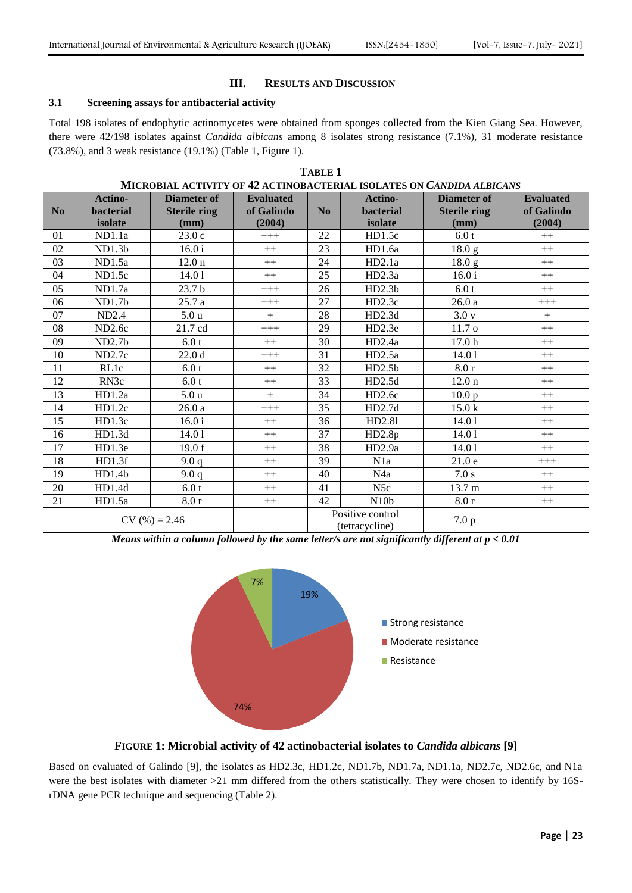## **III. RESULTS AND DISCUSSION**

## **3.1 Screening assays for antibacterial activity**

Total 198 isolates of endophytic actinomycetes were obtained from sponges collected from the Kien Giang Sea. However, there were 42/198 isolates against *Candida albicans* among 8 isolates strong resistance (7.1%), 31 moderate resistance (73.8%), and 3 weak resistance (19.1%) (Table 1, Figure 1).

|                | MICROBIAL ACTIVITY OF 42 ACTINOBACTERIAL ISOLATES ON CANDIDA ALBICANS |                     |                  |                |                  |                     |                  |  |  |
|----------------|-----------------------------------------------------------------------|---------------------|------------------|----------------|------------------|---------------------|------------------|--|--|
|                | Actino-                                                               | <b>Diameter of</b>  | <b>Evaluated</b> |                | <b>Actino-</b>   | <b>Diameter of</b>  | <b>Evaluated</b> |  |  |
| N <sub>0</sub> | <b>bacterial</b>                                                      | <b>Sterile ring</b> | of Galindo       | N <sub>0</sub> | <b>bacterial</b> | <b>Sterile ring</b> | of Galindo       |  |  |
|                | isolate                                                               | (mm)                | (2004)           |                | isolate          | (mm)                | (2004)           |  |  |
| 01             | ND1.1a                                                                | 23.0c               | $+++$            | 22             | HD1.5c           | 6.0t                | $++$             |  |  |
| 02             | ND1.3 <sub>b</sub>                                                    | 16.0 i              | $++$             | 23             | HD1.6a           | 18.0 <sub>g</sub>   | $++$             |  |  |
| 03             | ND1.5a                                                                | 12.0 <sub>n</sub>   | $++$             | 24             | HD2.1a           | 18.0 <sub>g</sub>   | $++$             |  |  |
| 04             | ND1.5c                                                                | 14.01               | $++$             | 25             | HD2.3a           | 16.0 i              | $++$             |  |  |
| 05             | ND1.7a                                                                | 23.7 b              | $+++$            | 26             | HD2.3b           | 6.0t                | $++$             |  |  |
| 06             | ND1.7b                                                                | 25.7a               | $+++$            | 27             | HD2.3c           | 26.0a               | $+++$            |  |  |
| 07             | ND2.4                                                                 | 5.0 <sub>u</sub>    | $+$              | 28             | HD2.3d           | 3.0v                | $+$              |  |  |
| 08             | ND <sub>2.6c</sub>                                                    | 21.7 cd             | $+++$            | 29             | HD2.3e           | 11.7 <sub>o</sub>   | $++$             |  |  |
| 09             | ND2.7b                                                                | 6.0 t               | $++$             | 30             | HD2.4a           | 17.0 <sub>h</sub>   | $++$             |  |  |
| 10             | ND2.7c                                                                | 22.0 <sub>d</sub>   | $+++$            | 31             | HD2.5a           | 14.01               | $++$             |  |  |
| 11             | RL1c                                                                  | 6.0 t               | $++$             | 32             | HD2.5b           | 8.0r                | $++$             |  |  |
| 12             | RN3c                                                                  | 6.0 t               | $++$             | 33             | HD2.5d           | 12.0 <sub>n</sub>   | $++$             |  |  |
| 13             | HD1.2a                                                                | 5.0 <sub>u</sub>    | $+$              | 34             | HD2.6c           | 10.0 <sub>p</sub>   | $++$             |  |  |
| 14             | HD1.2c                                                                | 26.0a               | $+++$            | 35             | HD2.7d           | 15.0 <sub>k</sub>   | $++$             |  |  |
| 15             | HD1.3c                                                                | 16.0 i              | $++$             | 36             | HD2.81           | 14.01               | $++$             |  |  |
| 16             | HD1.3d                                                                | 14.01               | $++$             | 37             | HD2.8p           | 14.01               | $++$             |  |  |
| 17             | HD1.3e                                                                | 19.0 f              | $++$             | 38             | HD2.9a           | 14.01               | $++$             |  |  |
| 18             | HD1.3f                                                                | 9.0q                | $++$             | 39             | N <sub>1</sub> a | 21.0e               | $+++$            |  |  |
| 19             | HD1.4b                                                                | 9.0q                | $++$             | 40             | N4a              | 7.0 s               | $++$             |  |  |
| 20             | HD1.4d                                                                | 6.0 t               | $++$             | 41             | N <sub>5</sub> c | 13.7 m              | $++$             |  |  |
| 21             | HD1.5a                                                                | 8.0r                | $++$             | 42             | N10 <sub>b</sub> | 8.0r                | $++$             |  |  |
|                |                                                                       |                     |                  |                | Positive control |                     |                  |  |  |
|                | $CV(%) = 2.46$                                                        |                     | (tetracycline)   |                | 7.0 p            |                     |                  |  |  |

**TABLE 1**

*Means within a column followed by the same letter/s are not significantly different at p < 0.01*



**FIGURE 1: Microbial activity of 42 actinobacterial isolates to** *Candida albicans* **[9]**

Based on evaluated of Galindo [9], the isolates as HD2.3c, HD1.2c, ND1.7b, ND1.7a, ND1.1a, ND2.7c, ND2.6c, and N1a were the best isolates with diameter >21 mm differed from the others statistically. They were chosen to identify by 16SrDNA gene PCR technique and sequencing (Table 2).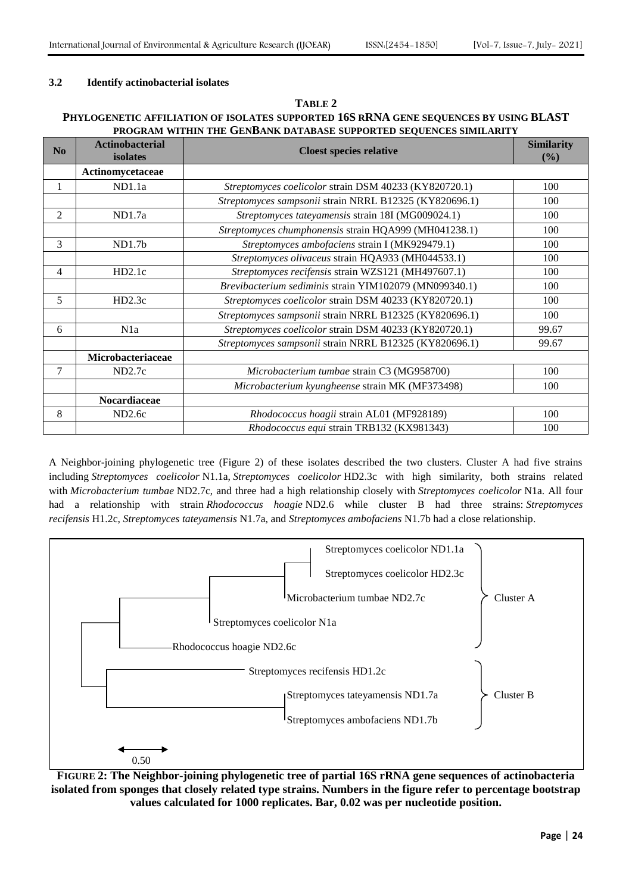## **3.2 Identify actinobacterial isolates**

## **TABLE 2**

## **PHYLOGENETIC AFFILIATION OF ISOLATES SUPPORTED 16S RRNA GENE SEQUENCES BY USING BLAST PROGRAM WITHIN THE GENBANK DATABASE SUPPORTED SEQUENCES SIMILARITY**

| $\bf No$       | <b>Actinobacterial</b><br>isolates | <b>Cloest species relative</b>                         |       |
|----------------|------------------------------------|--------------------------------------------------------|-------|
|                | Actinomycetaceae                   |                                                        |       |
|                | ND1.1a                             | Streptomyces coelicolor strain DSM 40233 (KY820720.1)  | 100   |
|                |                                    | Streptomyces sampsonii strain NRRL B12325 (KY820696.1) | 100   |
| $\mathfrak{D}$ | ND1.7a                             | Streptomyces tateyamensis strain 18I (MG009024.1)      | 100   |
|                |                                    | Streptomyces chumphonensis strain HQA999 (MH041238.1)  | 100   |
| 3              | ND1.7 <sub>b</sub>                 | Streptomyces ambofaciens strain I (MK929479.1)         | 100   |
|                |                                    | Streptomyces olivaceus strain HQA933 (MH044533.1)      | 100   |
| 4              | HD2.1c                             | Streptomyces recifensis strain WZS121 (MH497607.1)     | 100   |
|                |                                    | Brevibacterium sediminis strain YIM102079 (MN099340.1) | 100   |
| 5              | HD2.3c                             | Streptomyces coelicolor strain DSM 40233 (KY820720.1)  | 100   |
|                |                                    | Streptomyces sampsonii strain NRRL B12325 (KY820696.1) | 100   |
| 6              | N1a                                | Streptomyces coelicolor strain DSM 40233 (KY820720.1)  | 99.67 |
|                |                                    | Streptomyces sampsonii strain NRRL B12325 (KY820696.1) | 99.67 |
|                | Microbacteriaceae                  |                                                        |       |
| 7              | ND2.7c                             | Microbacterium tumbae strain C3 (MG958700)             | 100   |
|                |                                    | Microbacterium kyungheense strain MK (MF373498)        | 100   |
|                | Nocardiaceae                       |                                                        |       |
| 8              | ND <sub>2.6c</sub>                 | Rhodococcus hoagii strain AL01 (MF928189)              | 100   |
|                |                                    | Rhodococcus equi strain TRB132 (KX981343)              | 100   |

A Neighbor-joining phylogenetic tree (Figure 2) of these isolates described the two clusters. Cluster A had five strains including *Streptomyces coelicolor* N1.1a, *Streptomyces coelicolor* HD2.3c with high similarity, both strains related with *Microbacterium tumbae* ND2.7c, and three had a high relationship closely with *Streptomyces coelicolor* N1a. All four had a relationship with strain *Rhodococcus hoagie* ND2.6 while cluster B had three strains: *Streptomyces recifensis* H1.2c, *Streptomyces tateyamensis* N1.7a, and *Streptomyces ambofaciens* N1.7b had a close relationship.



**FIGURE 2: The Neighbor-joining phylogenetic tree of partial 16S rRNA gene sequences of actinobacteria isolated from sponges that closely related type strains. Numbers in the figure refer to percentage bootstrap values calculated for 1000 replicates. Bar, 0.02 was per nucleotide position.**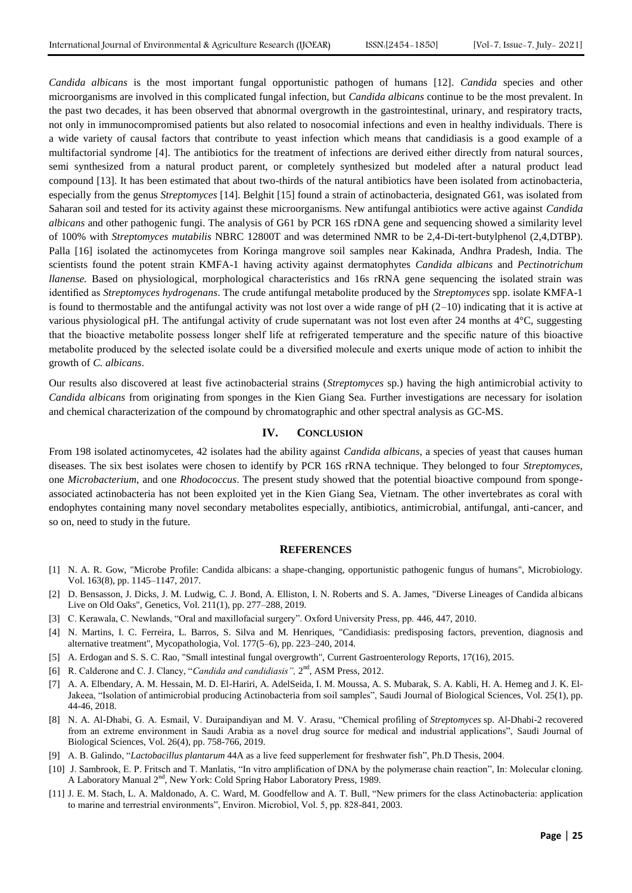*Candida albicans* is the most important fungal opportunistic pathogen of humans [12]*. Candida* species and other microorganisms are involved in this complicated fungal infection, but *Candida albicans* continue to be the most prevalent. In the past two decades, it has been observed that abnormal overgrowth in the gastrointestinal, urinary, and respiratory tracts, not only in immunocompromised patients but also related to nosocomial infections and even in healthy individuals. There is a wide variety of causal factors that contribute to yeast infection which means that candidiasis is a good example of a multifactorial syndrome [4]. The antibiotics for the treatment of infections are derived either directly from natural sources, semi synthesized from a natural product parent, or completely synthesized but modeled after a natural product lead compound [13]. It has been estimated that about two-thirds of the natural antibiotics have been isolated from actinobacteria, especially from the genus *Streptomyces* [14]. Belghit [15] found a strain of actinobacteria, designated G61, was isolated from Saharan soil and tested for its activity against these microorganisms. New antifungal antibiotics were active against *Candida albicans* and other pathogenic fungi. The analysis of G61 by PCR 16S rDNA gene and sequencing showed a similarity level of 100% with *Streptomyces mutabilis* NBRC 12800T and was determined NMR to be 2,4-Di-tert-butylphenol (2,4,DTBP). Palla [16] isolated the actinomycetes from Koringa mangrove soil samples near Kakinada, Andhra Pradesh, India. The scientists found the potent strain KMFA-1 having activity against dermatophytes *Candida albicans* and *Pectinotrichum llanense.* Based on physiological, morphological characteristics and 16s rRNA gene sequencing the isolated strain was identified as *Streptomyces hydrogenans*. The crude antifungal metabolite produced by the *Streptomyces* spp. isolate KMFA-1 is found to thermostable and the antifungal activity was not lost over a wide range of  $pH(2-10)$  indicating that it is active at various physiological pH. The antifungal activity of crude supernatant was not lost even after 24 months at  $4^{\circ}$ C, suggesting that the bioactive metabolite possess longer shelf life at refrigerated temperature and the specific nature of this bioactive metabolite produced by the selected isolate could be a diversified molecule and exerts unique mode of action to inhibit the growth of *C. albicans*.

Our results also discovered at least five actinobacterial strains (*Streptomyces* sp.) having the high antimicrobial activity to *Candida albicans* from originating from sponges in the Kien Giang Sea. Further investigations are necessary for isolation and chemical characterization of the compound by chromatographic and other spectral analysis as GC-MS.

## **IV. CONCLUSION**

From 198 isolated actinomycetes, 42 isolates had the ability against *Candida albicans*, a species of yeast that causes human diseases. The six best isolates were chosen to identify by PCR 16S rRNA technique. They belonged to four *Streptomyces*, one *Microbacterium*, and one *Rhodococcus*. The present study showed that the potential bioactive compound from spongeassociated actinobacteria has not been exploited yet in the Kien Giang Sea, Vietnam. The other invertebrates as coral with endophytes containing many novel secondary metabolites especially, antibiotics, antimicrobial, antifungal, anti-cancer, and so on, need to study in the future.

#### **REFERENCES**

- [1] N. A. R. Gow, "Microbe Profile: Candida albicans: a shape-changing, opportunistic pathogenic fungus of humans", Microbiology. Vol. 163(8), pp. 1145–1147, 2017.
- [2] D. Bensasson, J. Dicks, J. M. Ludwig, C. J. Bond, A. Elliston, I. N. Roberts and S. A. James, "Diverse Lineages of Candida albicans Live on Old Oaks", Genetics, Vol. 211(1), pp. 277–288, 2019.
- [3] C. Kerawala, C. Newlands, "Oral and maxillofacial surgery". Oxford University Press, pp. 446, 447, 2010.
- [4] N. Martins, I. C. Ferreira, L. Barros, S. Silva and M. Henriques, "Candidiasis: predisposing factors, prevention, diagnosis and alternative treatment", Mycopathologia, Vol. 177(5–6), pp. 223–240, 2014.
- [5] A. Erdogan and S. S. C. Rao, "Small intestinal fungal overgrowth", Current Gastroenterology Reports, 17(16), 2015.
- [6] R. Calderone and C. J. Clancy, "Candida and candidiasis", 2<sup>nd</sup>, ASM Press, 2012.
- [7] A. A. Elbendary, A. M. Hessain, M. D. El-Hariri, A. AdelSeida, I. M. Moussa, A. S. Mubarak, [S. A. Kabli, H](https://www.sciencedirect.com/science/article/pii/S1319562X17301407#!). A. Hemeg and J. K. El-Jakeea, "Isolation of antimicrobial producing Actinobacteria from soil samples", [Saudi Journal of Biological Sciences,](https://www.sciencedirect.com/science/journal/1319562X) [Vol. 25\(1\),](https://www.sciencedirect.com/science/journal/1319562X/25/1) pp. 44-46, 2018.
- [8] N. A. Al-Dhabi, G. A. Esmail, V. Duraipandiyan and M. V. Arasu, "Chemical profiling of *Streptomyces* sp. Al-Dhabi-2 recovered from an extreme environment in Saudi Arabia as a novel drug source for medical and industrial applications", [Saudi Journal of](https://www.sciencedirect.com/science/journal/1319562X)  [Biological Sciences,](https://www.sciencedirect.com/science/journal/1319562X) [Vol. 26\(4\),](https://www.sciencedirect.com/science/journal/1319562X/26/4) pp. 758-766, 2019.
- [9] A. B. Galindo, "*Lactobacillus plantarum* 44A as a live feed supperlement for freshwater fish", Ph.D Thesis, 2004.
- [10] J. Sambrook, E. P. Fritsch and T. Manlatis, "In vitro amplification of DNA by the polymerase chain reaction", In: Molecular cloning. A Laboratory Manual 2<sup>nd</sup>, New York: Cold Spring Habor Laboratory Press, 1989.
- [11] J. E. M. Stach, L. A. Maldonado, A. C. Ward, M. Goodfellow and A. T. Bull, "New primers for the class Actinobacteria: application to marine and terrestrial environments", Environ. Microbiol, Vol. 5, pp. 828-841, 2003.